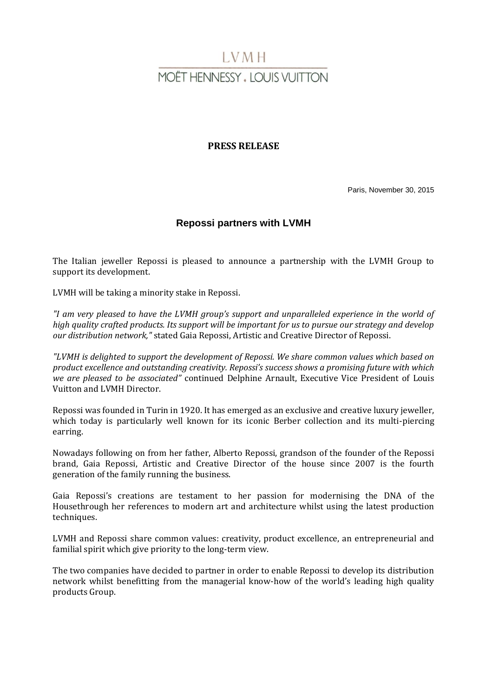# LVMH **MOËT HENNESSY . LOUIS VUITTON**

# **PRESS RELEASE**

Paris, November 30, 2015

# **Repossi partners with LVMH**

The Italian jeweller Repossi is pleased to announce a partnership with the LVMH Group to support its development.

LVMH will be taking a minority stake in Repossi.

*"I am very pleased to have the LVMH group's support and unparalleled experience in the world of high quality crafted products. Its support will be important for us to pursue our strategy and develop our distribution network,"* stated Gaia Repossi, Artistic and Creative Director of Repossi.

*"LVMH is delighted to support the development of Repossi. We share common values which based on product excellence and outstanding creativity. Repossi's success shows a promising future with which we are pleased to be associated"* continued Delphine Arnault, Executive Vice President of Louis Vuitton and LVMH Director.

Repossi was founded in Turin in 1920. It has emerged as an exclusive and creative luxury jeweller, which today is particularly well known for its iconic Berber collection and its multi-piercing earring.

Nowadays following on from her father, Alberto Repossi, grandson of the founder of the Repossi brand, Gaia Repossi, Artistic and Creative Director of the house since 2007 is the fourth generation of the family running the business.

Gaia Repossi's creations are testament to her passion for modernising the DNA of the Housethrough her references to modern art and architecture whilst using the latest production techniques.

LVMH and Repossi share common values: creativity, product excellence, an entrepreneurial and familial spirit which give priority to the long-term view.

The two companies have decided to partner in order to enable Repossi to develop its distribution network whilst benefitting from the managerial know-how of the world's leading high quality products Group.